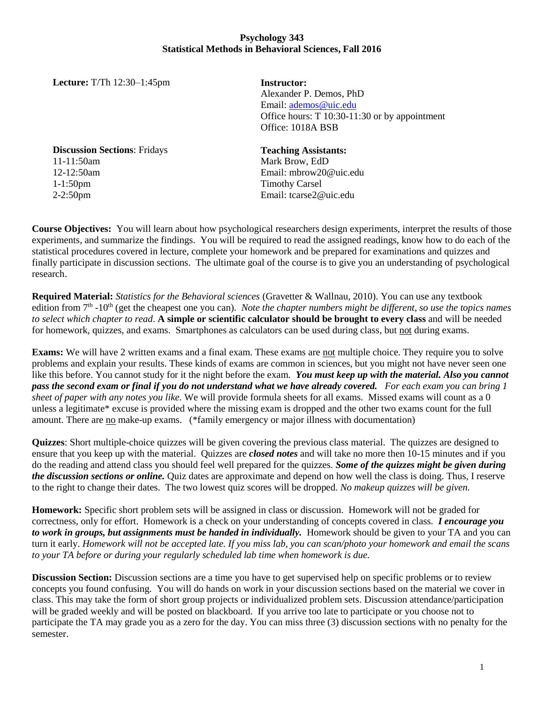## **Psychology 343 Statistical Methods in Behavioral Sciences, Fall 2016**

**Lecture:** T/Th 12:30–1:45pm

**Instructor:**  Alexander P. Demos, PhD Email: [ademos@uic.edu](mailto:ademos@uic.edu) Office hours: T 10:30-11:30 or by appointment Office: 1018A BSB

**Discussion Sections**: Fridays 11-11:50am 12-12:50am 1-1:50pm 2-2:50pm

**Teaching Assistants:**

Mark Brow, EdD Email: mbrow20@uic.edu Timothy Carsel Email: tcarse2@uic.edu

**Course Objectives:** You will learn about how psychological researchers design experiments, interpret the results of those experiments, and summarize the findings. You will be required to read the assigned readings, know how to do each of the statistical procedures covered in lecture, complete your homework and be prepared for examinations and quizzes and finally participate in discussion sections. The ultimate goal of the course is to give you an understanding of psychological research.

**Required Material:** *Statistics for the Behavioral sciences* (Gravetter & Wallnau, 2010). You can use any textbook edition from 7<sup>th</sup> -10<sup>th</sup> (get the cheapest one you can). *Note the chapter numbers might be different, so use the topics names to select which chapter to read*. **A simple or scientific calculator should be brought to every class** and will be needed for homework, quizzes, and exams. Smartphones as calculators can be used during class, but not during exams.

**Exams:** We will have 2 written exams and a final exam. These exams are not multiple choice. They require you to solve problems and explain your results. These kinds of exams are common in sciences, but you might not have never seen one like this before. You cannot study for it the night before the exam. *You must keep up with the material. Also you cannot pass the second exam or final if you do not understand what we have already covered. For each exam you can bring 1 sheet of paper with any notes you like.* We will provide formula sheets for all exams. Missed exams will count as a 0 unless a legitimate\* excuse is provided where the missing exam is dropped and the other two exams count for the full amount. There are no make-up exams. (\*family emergency or major illness with documentation)

**Quizzes**: Short multiple-choice quizzes will be given covering the previous class material. The quizzes are designed to ensure that you keep up with the material. Quizzes are *closed notes* and will take no more then 10-15 minutes and if you do the reading and attend class you should feel well prepared for the quizzes*. Some of the quizzes might be given during the discussion sections or online.* Quiz dates are approximate and depend on how well the class is doing. Thus, I reserve to the right to change their dates. The two lowest quiz scores will be dropped. *No makeup quizzes will be given.*

**Homework:** Specific short problem sets will be assigned in class or discussion. Homework will not be graded for correctness, only for effort. Homework is a check on your understanding of concepts covered in class. *I encourage you to work in groups, but assignments must be handed in individually.* Homework should be given to your TA and you can turn it early. *Homework will not be accepted late. If you miss lab, you can scan/photo your homework and email the scans to your TA before or during your regularly scheduled lab time when homework is due.* 

**Discussion Section:** Discussion sections are a time you have to get supervised help on specific problems or to review concepts you found confusing. You will do hands on work in your discussion sections based on the material we cover in class. This may take the form of short group projects or individualized problem sets. Discussion attendance/participation will be graded weekly and will be posted on blackboard. If you arrive too late to participate or you choose not to participate the TA may grade you as a zero for the day. You can miss three (3) discussion sections with no penalty for the semester.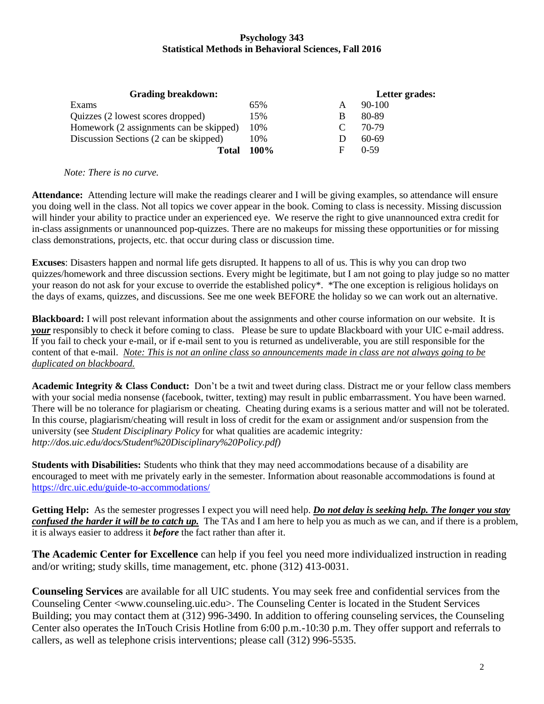## **Psychology 343 Statistical Methods in Behavioral Sciences, Fall 2016**

| <b>Grading breakdown:</b>               |      |   | Letter grades: |
|-----------------------------------------|------|---|----------------|
| Exams                                   | 65%  | A | $90-100$       |
| Quizzes (2 lowest scores dropped)       | 15%  | B | 80-89          |
| Homework (2 assignments can be skipped) | 10%  |   | 70-79          |
| Discussion Sections (2 can be skipped)  | 10%  |   | 60-69          |
| Total                                   | 100% | F | $0-59$         |

*Note: There is no curve.* 

**Attendance:** Attending lecture will make the readings clearer and I will be giving examples, so attendance will ensure you doing well in the class. Not all topics we cover appear in the book. Coming to class is necessity. Missing discussion will hinder your ability to practice under an experienced eye. We reserve the right to give unannounced extra credit for in-class assignments or unannounced pop-quizzes. There are no makeups for missing these opportunities or for missing class demonstrations, projects, etc. that occur during class or discussion time.

**Excuses**: Disasters happen and normal life gets disrupted. It happens to all of us. This is why you can drop two quizzes/homework and three discussion sections. Every might be legitimate, but I am not going to play judge so no matter your reason do not ask for your excuse to override the established policy\*. \*The one exception is religious holidays on the days of exams, quizzes, and discussions. See me one week BEFORE the holiday so we can work out an alternative.

**Blackboard:** I will post relevant information about the assignments and other course information on our website. It is *your* responsibly to check it before coming to class. Please be sure to update Blackboard with your UIC e-mail address. If you fail to check your e-mail, or if e-mail sent to you is returned as undeliverable, you are still responsible for the content of that e-mail. *Note: This is not an online class so announcements made in class are not always going to be duplicated on blackboard.* 

**Academic Integrity & Class Conduct:** Don't be a twit and tweet during class. Distract me or your fellow class members with your social media nonsense (facebook, twitter, texting) may result in public embarrassment. You have been warned. There will be no tolerance for plagiarism or cheating. Cheating during exams is a serious matter and will not be tolerated. In this course, plagiarism/cheating will result in loss of credit for the exam or assignment and/or suspension from the university (see *Student Disciplinary Policy* for what qualities are academic integrity*: http://dos.uic.edu/docs/Student%20Disciplinary%20Policy.pdf)*

**Students with Disabilities:** Students who think that they may need accommodations because of a disability are encouraged to meet with me privately early in the semester. Information about reasonable accommodations is found at <https://drc.uic.edu/guide-to-accommodations/>

**Getting Help:** As the semester progresses I expect you will need help. *Do not delay is seeking help. The longer you stay confused the harder it will be to catch up.* The TAs and I am here to help you as much as we can, and if there is a problem, it is always easier to address it *before* the fact rather than after it.

**The Academic Center for Excellence** can help if you feel you need more individualized instruction in reading and/or writing; study skills, time management, etc. phone (312) 413-0031.

**Counseling Services** are available for all UIC students. You may seek free and confidential services from the Counseling Center <www.counseling.uic.edu>. The Counseling Center is located in the Student Services Building; you may contact them at (312) 996-3490. In addition to offering counseling services, the Counseling Center also operates the InTouch Crisis Hotline from 6:00 p.m.-10:30 p.m. They offer support and referrals to callers, as well as telephone crisis interventions; please call (312) 996-5535.